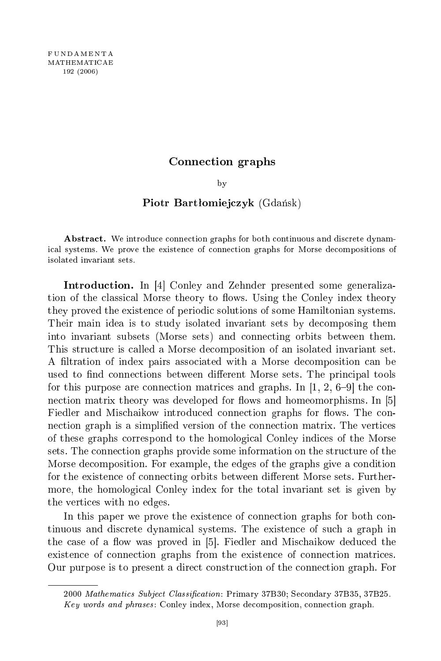## graphs

by  $\overline{\phantom{a}}$ 

## Piotr Bartłomiejczyk (Gdańsk)

Abstract. We introduce connection graphs for both continuous and discrete dynamical systems. We prove the existence of connection graphs for Morse decompositions of isolated invariant sets.

**Introduction.** In [4] Conley and Zehnder presented some generalization of the classical Morse theory to flows. Using the Conley index theory they proved the existence of periodic solutions of some Hamiltonian systems. Their main idea is to study isolated invariant sets by de
omposing them into invariant subsets (Morse sets) and onne
ting orbits between them. This structure is called a Morse decomposition of an isolated invariant set. A filtration of index pairs associated with a Morse decomposition can be used to find connections between different Morse sets. The principal tools for this purpose are connection matrices and graphs. In  $[1, 2, 6-9]$  the connection matrix theory was developed for flows and homeomorphisms. In [5] Fiedler and Mischaikow introduced connection graphs for flows. The connection graph is a simplified version of the connection matrix. The vertices of these graphs orrespond to the homologi
al Conley indi
es of the Morse sets. The connection graphs provide some information on the structure of the Morse de
omposition. For example, the edges of the graphs give a ondition for the existence of connecting orbits between different Morse sets. Furthermore, the homologi
al Conley index for the total invariant set is given by the verti
es with no edges.

In this paper we prove the existence of connection graphs for both continuous and dis
rete dynami
al systems. The existen
e of su
h a graph in the case of a flow was proved in [5]. Fiedler and Mischaikow deduced the existence of connection graphs from the existence of connection matrices. Our purpose is to present a direct construction of the connection graph. For

<sup>2000</sup> Mathemati
s Subje
t Classi
ation: Primary 37B30; Se
ondary 37B35, 37B25. Key words and phrases: Conley index, Morse decomposition, connection graph.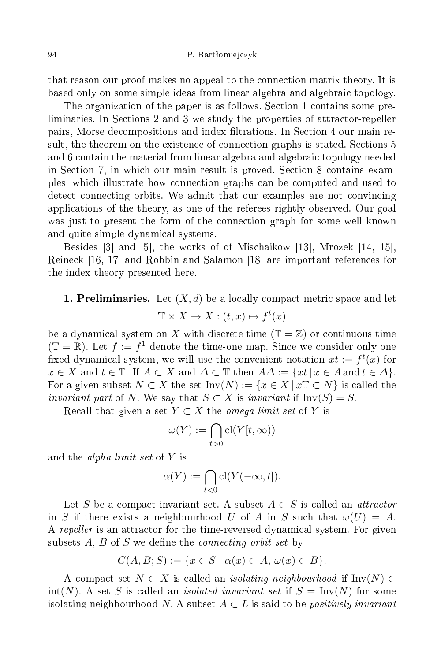that reason our proof makes no appeal to the onne
tion matrix theory. It is based only on some simple ideas from linear algebra and algebrai topology.

The organization of the paper is as follows. Section 1 contains some preliminaries. In Sections 2 and 3 we study the properties of attractor-repeller pairs, Morse decompositions and index filtrations. In Section 4 our main result, the theorem on the existence of connection graphs is stated. Sections 5 and 6 ontain the material from linear algebra and algebrai topology needed in Se
tion 7, in whi
h our main result is proved. Se
tion 8 ontains examples, whi
h illustrate how onne
tion graphs an be omputed and used to detect connecting orbits. We admit that our examples are not convincing appli
ations of the theory, as one of the referees rightly observed. Our goal was just to present the form of the connection graph for some well known and quite simple dynami
al systems.

Besides  $[3]$  and  $[5]$ , the works of of Mischaikow  $[13]$ , Mrozek  $[14, 15]$ , Reineck [16, 17] and Robbin and Salamon [18] are important references for the index theory presented here.

# **1. Preliminaries.** Let  $(X,d)$  be a locally compact metric space and let  $\mathbb{T} \times X \to X : (t, x) \mapsto f^t(x)$

be a dynamical system on X with discrete time  $(\mathbb{T} = \mathbb{Z})$  or continuous time  $(\mathbb{T} = \mathbb{R})$ . Let  $f := f^1$  denote the time-one map. Since we consider only one fixed dynamical system, we will use the convenient notation  $xt := f<sup>t</sup>(x)$  for  $x \in X$  and  $t \in \mathbb{T}$ . If  $A \subset X$  and  $\Delta \subset \mathbb{T}$  then  $A\Delta := \{xt \mid x \in A \text{ and } t \in \Delta\}.$ For a given subset  $N \subset X$  the set  $\text{Inv}(N) := \{x \in X \mid x \mathbb{T} \subset N\}$  is called the invariant part of N. We say that  $S \subset X$  is invariant if  $\text{Inv}(S) = S$ .

Recall that given a set  $Y \subset X$  the *omega limit set* of Y is

$$
\omega(Y):=\bigcap_{t>0}\mathrm{cl}(Y[t,\infty))
$$

and the *alpha limit set* of  $Y$  is

$$
\alpha(Y) := \bigcap_{t < 0} \text{cl}(Y(-\infty, t]).
$$

Let S be a compact invariant set. A subset  $A \subset S$  is called an *attractor* in S if there exists a neighbourhood U of A in S such that  $\omega(U) = A$ . A repeller is an attractor for the time-reversed dynamical system. For given subsets  $A, B$  of  $S$  we define the *connecting orbit set* by

$$
C(A, B; S) := \{ x \in S \mid \alpha(x) \subset A, \omega(x) \subset B \}.
$$

A compact set  $N \subset X$  is called an *isolating neighbourhood* if Inv $(N) \subset Y$  $\text{int}(N)$ . A set S is called an *isolated invariant set* if  $S = \text{Inv}(N)$  for some isolating neighbourhood N. A subset  $A \subset L$  is said to be *positively invariant*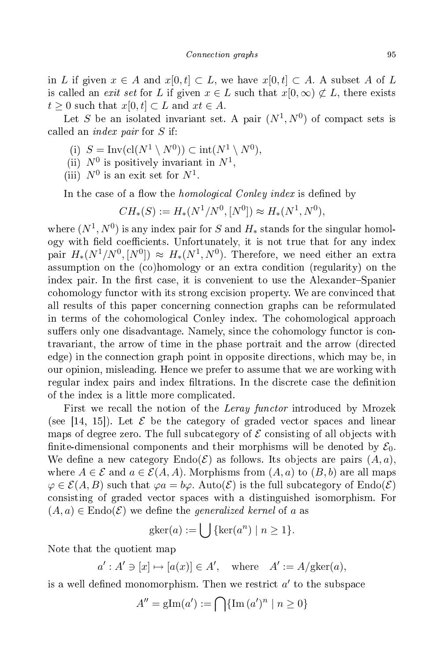in L if given  $x \in A$  and  $x[0, t] \subset L$ , we have  $x[0, t] \subset A$ . A subset A of L is called an *exit set* for L if given  $x \in L$  such that  $x(0, \infty) \not\subset L$ , there exists  $t \geq 0$  such that  $x[0, t] \subset L$  and  $xt \in A$ .

Let S be an isolated invariant set. A pair  $(N^1, N^0)$  of compact sets is alled an index pair for S if:

- (i)  $S = Inv(cl(N^1 \setminus N^0)) \subset int(N^1 \setminus N^0),$
- (ii)  $N^0$  is positively invariant in  $N^1$ ,
- (iii)  $N^0$  is an exit set for  $N^1$ .

In the case of a flow the *homological Conley index* is defined by

$$
CH_*(S) := H_*(N^1/N^0, [N^0]) \approx H_*(N^1, N^0),
$$

where  $(N^1,N^0)$  is any index pair for  $S$  and  $H_\ast$  stands for the singular homology with field coefficients. Unfortunately, it is not true that for any index pair  $H_*(N^1/N^0, [N^0]) \approx H_*(N^1, N^0)$ . Therefore, we need either an extra assumption on the (
o)homology or an extra ondition (regularity) on the index pair. In the first case, it is convenient to use the Alexander–Spanier cohomology functor with its strong excision property. We are convinced that all results of this paper on
erning onne
tion graphs an be reformulated in terms of the cohomological Conley index. The cohomological approach suffers only one disadvantage. Namely, since the cohomology functor is contravariant, the arrow of time in the phase portrait and the arrow (dire
ted edge) in the onne
tion graph point in opposite dire
tions, whi
h may be, in our opinion, misleading. Hen
e we prefer to assume that we are working with regular index pairs and index filtrations. In the discrete case the definition of the index is a little more ompli
ated.

First we recall the notion of the *Leray functor* introduced by Mrozek (see [14, 15]). Let  $\mathcal E$  be the category of graded vector spaces and linear maps of degree zero. The full subcategory of  $\mathcal E$  consisting of all objects with finite-dimensional components and their morphisms will be denoted by  $\mathcal{E}_0$ . We define a new category  $\text{End}(E)$  as follows. Its objects are pairs  $(A, a)$ . where  $A \in \mathcal{E}$  and  $a \in \mathcal{E}(A, A)$ . Morphisms from  $(A, a)$  to  $(B, b)$  are all maps  $\varphi \in \mathcal{E}(A, B)$  such that  $\varphi a = b\varphi$ . Auto $(\mathcal{E})$  is the full subcategory of Endo $(\mathcal{E})$ onsisting of graded ve
tor spa
es with a distinguished isomorphism. For  $(A, a) \in \text{Endo}(\mathcal{E})$  we define the *generalized kernel* of a as

$$
gker(a) := \bigcup \{ \ker(a^n) \mid n \ge 1 \}.
$$

Note that the quotient map

 $a' : A' \ni [x] \mapsto [a(x)] \in A', \text{ where } A' := A/\text{gker}(a),$ 

is a well defined monomorphism. Then we restrict  $a'$  to the subspace

$$
A'' = \text{gIm}(a') := \bigcap \{ \text{Im}(a')^n \mid n \ge 0 \}
$$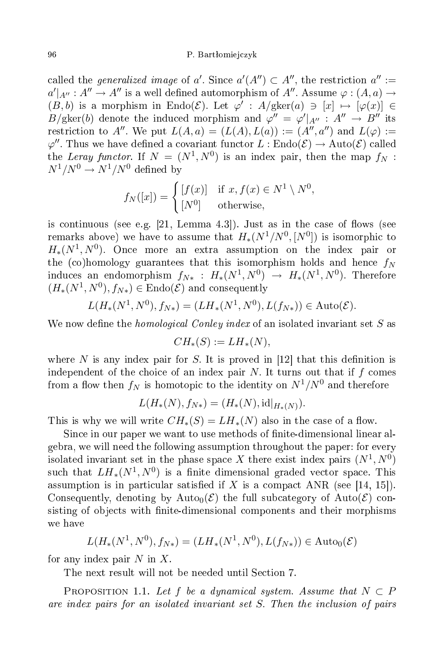### 96 P. Bartªomiej
zyk

called the *generalized image* of a'. Since  $a'(A'') \subset A''$ , the restriction  $a'':=$  $a'|_{A''}: A'' \to A''$  is a well defined automorphism of  $A''$ . Assume  $\varphi : (A,a) \to$  $(B, b)$  is a morphism in Endo( $\mathcal{E}$ ). Let  $\varphi' : A/\text{gker}(a) \ni [x] \mapsto [\varphi(x)] \in$  $B/\text{gker}(b)$  denote the induced morphism and  $\varphi'' = \varphi' |_{A''} : A'' \to B''$  its restriction to A''. We put  $L(A, a) = (L(A), L(a)) := (A'', a'')$  and  $L(\varphi) :=$  $\varphi''$ . Thus we have defined a covariant functor  $L: \text{Endo}(\mathcal{E}) \to \text{Auto}(\mathcal{E})$  called the Leray functor. If  $N = (N^1, N^0)$  is an index pair, then the map  $f_N$ :  $N^1/N^0 \rightarrow N^1/N^0$  defined by

$$
f_N([x]) = \begin{cases} [f(x)] & \text{if } x, f(x) \in N^1 \setminus N^0, \\ [N^0] & \text{otherwise,} \end{cases}
$$

is continuous (see e.g.  $[21, \text{ Lemma } 4.3]$ ). Just as in the case of flows (see remarks above) we have to assume that  $H_*(N^1/N^0,[N^0])$  is isomorphic to  $H_*(N^1, N^0)$ . Once more an extra assumption on the index pair or the (co)homology guarantees that this isomorphism holds and hence  $f_N$ induces an endomorphism  $f_{N*}$  :  $H_*(N^1,N^0) \rightarrow H_*(N^1,N^0)$ . Therefore  $(H_*(N^1, N^0), f_{N*}) \in \text{Endo}(\mathcal{E})$  and consequently

$$
L(H_*(N^1, N^0), f_{N*}) = (LH_*(N^1, N^0), L(f_{N*})) \in \text{Auto}(\mathcal{E}).
$$

We now define the *homological Conley index* of an isolated invariant set S as

$$
CH_*(S) := LH_*(N),
$$

where N is any index pair for S. It is proved in  $[12]$  that this definition is independent of the choice of an index pair N. It turns out that if  $f$  comes from a flow then  $f_N$  is homotopic to the identity on  $N^1/N^0$  and therefore

$$
L(H_*(N), f_{N*}) = (H_*(N), \mathrm{id}|_{H_*(N)}).
$$

This is why we will write  $CH_*(S) = LH_*(N)$  also in the case of a flow.

Since in our paper we want to use methods of finite-dimensional linear algebra, we will need the following assumption throughout the paper: for every isolated invariant set in the phase space X there exist index pairs  $(N^1, N^0)$ such that  $LH_*(N^1, N^0)$  is a finite dimensional graded vector space. This assumption is in particular satisfied if X is a compact ANR (see [14, 15]). Consequently, denoting by Auto<sub>0</sub> $(\mathcal{E})$  the full subcategory of Auto $(\mathcal{E})$  consisting of objects with finite-dimensional components and their morphisms we have

$$
L(H_*(N^1, N^0), f_{N*}) = (LH_*(N^1, N^0), L(f_{N*})) \in \text{Auto}_0(\mathcal{E})
$$

for any index pair  $N$  in  $X$ .

The next result will not be needed until Section 7.

PROPOSITION 1.1. Let f be a dynamical system. Assume that  $N \subset P$ are index pairs for an isolated invariant set S. Then the in
lusion of pairs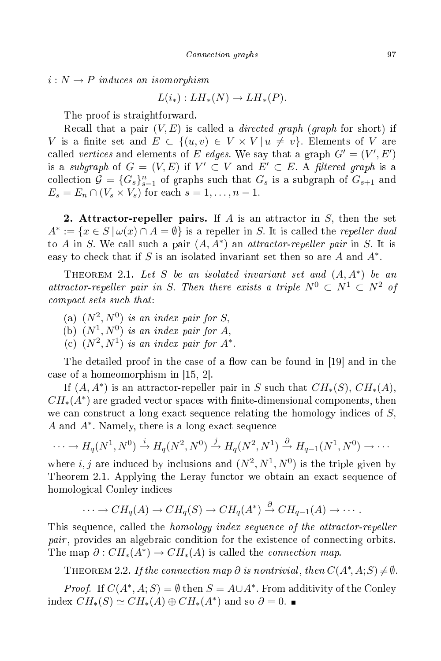$i: N \to P$  induces an isomorphism

$$
L(i_*) : LH_*(N) \to LH_*(P).
$$

The proof is straightforward. The proof is straightforward. The proof is straightforward. The proof is straightforward. The proof is straightforward. The proof is straightforward. The proof is straightforward. The proof is straightforward. The proof is

Recall that a pair  $(V, E)$  is called a *directed graph* (*graph* for short) if V is a finite set and  $E \subset \{(u, v) \in V \times V | u \neq v\}$ . Elements of V are called vertices and elements of E edges. We say that a graph  $G' = (V', E')$ is a subgraph of  $G = (V, E)$  if  $V' \subset V$  and  $E' \subset E$ . A filtered graph is a collection  $\mathcal{G} = \{G_s\}_{s=1}^n$  of graphs such that  $G_s$  is a subgraph of  $G_{s+1}$  and  $E_s = E_n \cap (V_s \times V_s)$  for each  $s = 1, \ldots, n-1$ .

2. Attractor-repeller pairs. If A is an attractor in S, then the set  $A^* := \{x \in S \mid \omega(x) \cap A = \emptyset\}$  is a repeller in S. It is called the repeller dual to A in S. We call such a pair  $(A, A^*)$  an *attractor-repeller pair* in S. It is easy to check that if S is an isolated invariant set then so are  $A$  and  $A^*$ .

THEOREM 2.1. Let S be an isolated invariant set and  $(A, A^*)$  be an attractor-repeller pair in S. Then there exists a triple  $N^0 \subset N^1 \subset N^2$  of compact sets such that:

- (a)  $(N^2, N^0)$  is an index pair for S,
- (b)  $(N^1, N^0)$  is an index pair for A,
- (c)  $(N^2, N^1)$  is an index pair for  $A^*$ .

The detailed proof in the case of a flow can be found in [19] and in the case of a homeomorphism in  $[15, 2]$ .

If  $(A, A^*)$  is an attractor-repeller pair in S such that  $CH_*(S), CH_*(A),$  $CH_*(A^*)$  are graded vector spaces with finite-dimensional components, then we can construct a long exact sequence relating the homology indices of  $S$ ,  $A$  and  $A^*$ . Namely, there is a long exact sequence

$$
\cdots \to H_q(N^1, N^0) \xrightarrow{i} H_q(N^2, N^0) \xrightarrow{j} H_q(N^2, N^1) \xrightarrow{\partial} H_{q-1}(N^1, N^0) \to \cdots
$$

where  $i, j$  are induced by inclusions and  $(N^2, N^1, N^0)$  is the triple given by Theorem 2.1. Applying the Leray functor we obtain an exact sequence of homologi
al Conley indi
es

$$
\cdots \to CH_q(A) \to CH_q(S) \to CH_q(A^*) \stackrel{\partial}{\to} CH_{q-1}(A) \to \cdots.
$$

This sequence, called the *homology index sequence of the attractor-repeller* pair, provides an algebraic condition for the existence of connecting orbits. The map  $\partial: CH_*(A^*) \to CH_*(A)$  is called the *connection map*.

THEOREM 2.2. If the connection map  $\partial$  is nontrivial, then  $C(A^*, A;S) \neq \emptyset$ .

*Proof.* If  $C(A^*, A; S) = \emptyset$  then  $S = A \cup A^*$ . From additivity of the Conley index  $CH_*(S) \simeq CH_*(A) \oplus CH_*(A^*)$  and so  $\partial = 0$ .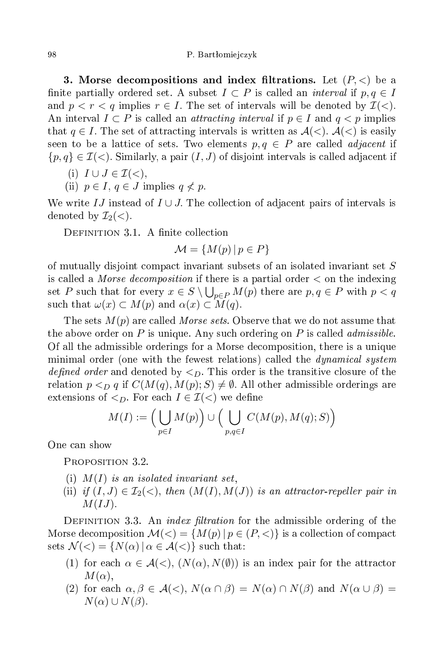3. Morse decompositions and index filtrations. Let  $(P, <)$  be a finite partially ordered set. A subset  $I \subset P$  is called an *interval* if  $p, q \in I$ and  $p < r < q$  implies  $r \in I$ . The set of intervals will be denoted by  $\mathcal{I}(<)$ . An interval  $I \subset P$  is called an *attracting interval* if  $p \in I$  and  $q < p$  implies that  $q \in I$ . The set of attracting intervals is written as  $\mathcal{A}(<)$ .  $\mathcal{A}(<)$  is easily seen to be a lattice of sets. Two elements  $p, q \in P$  are called *adjacent* if  $\{p,q\} \in \mathcal{I}(\le)$ . Similarly, a pair  $(I,J)$  of disjoint intervals is called adjacent if

- (i)  $I \cup J \in \mathcal{I}(<)$ ,
- (ii)  $p \in I$ ,  $q \in J$  implies  $q \nless p$ .

We write IJ instead of  $I \cup J$ . The collection of adjacent pairs of intervals is denoted by  $\mathcal{I}_2(\langle).$ 

DEFINITION 3.1. A finite collection

$$
\mathcal{M} = \{ M(p) \, | \, p \in P \}
$$

of mutually disjoint ompa
t invariant subsets of an isolated invariant set S is called a *Morse decomposition* if there is a partial order  $\lt$  on the indexing set P such that for every  $x \in S \setminus \bigcup_{p \in P} M(p)$  there are  $p, q \in P$  with  $p < q$ such that  $\omega(x) \subset M(p)$  and  $\alpha(x) \subset M(q)$ .

The sets  $M(p)$  are called *Morse sets*. Observe that we do not assume that the above order on P is unique. Any such ordering on P is called *admissible*. Of all the admissible orderings for a Morse de
omposition, there is a unique minimal order (one with the fewest relations) called the *dynamical system* defined order and denoted by  $\langle D \rangle$ . This order is the transitive closure of the relation  $p <_{D} q$  if  $C(M(q), M(p); S) \neq \emptyset$ . All other admissible orderings are extensions of  $\leq_D$ . For each  $I \in \mathcal{I}(\leq)$  we define

$$
M(I) := \left(\bigcup_{p \in I} M(p)\right) \cup \left(\bigcup_{p,q \in I} C(M(p), M(q); S)\right)
$$

One an show

PROPOSITION 3.2.

- (i)  $M(I)$  is an isolated invariant set,
- (ii) if  $(I, J) \in \mathcal{I}_2(\langle), \text{ then } (M(I), M(J))$  is an attractor-repeller pair in  $M(IJ)$ .

DEFINITION 3.3. An *index filtration* for the admissible ordering of the Morse decomposition  $\mathcal{M}(\leq) = \{ M(p) \, | \, p \in (P, \leq) \}$  is a collection of compact sets  $\mathcal{N}(<)=\{N(\alpha) \mid \alpha \in \mathcal{A}(<)\}\$  such that:

- (1) for each  $\alpha \in \mathcal{A}(\le)$ ,  $(N(\alpha), N(\emptyset))$  is an index pair for the attractor  $M(\alpha),$
- (2) for each  $\alpha, \beta \in \mathcal{A}(\langle), N(\alpha \cap \beta) = N(\alpha) \cap N(\beta)$  and  $N(\alpha \cup \beta) =$  $N(\alpha) \cup N(\beta)$ .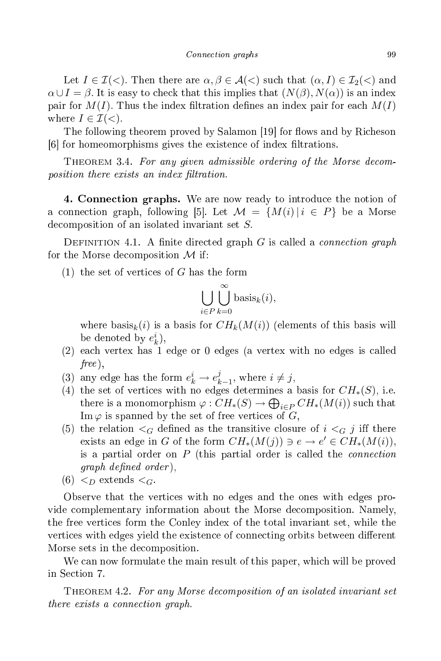Let  $I \in \mathcal{I}(\le)$ . Then there are  $\alpha, \beta \in \mathcal{A}(\le)$  such that  $(\alpha, I) \in \mathcal{I}_2(\le)$  and  $\alpha \cup I = \beta$ . It is easy to check that this implies that  $(N(\beta), N(\alpha))$  is an index pair for  $M(I)$ . Thus the index filtration defines an index pair for each  $M(I)$ where  $I \in \mathcal{I}(<)$ .

The following theorem proved by Salamon [19] for flows and by Richeson [6] for homeomorphisms gives the existence of index filtrations.

THEOREM 3.4. For any given admissible ordering of the Morse decomposition there exists an index filtration.

4. Connection graphs. We are now ready to introduce the notion of 4. Conne
tion graphs. We are now ready to introdu
e the notion of a connection graph, following [5]. Let  $\mathcal{M} = \{M(i) | i \in P\}$  be a Morse de
omposition of an isolated invariant set S.

DEFINITION 4.1. A finite directed graph G is called a *connection graph* for the Morse decomposition  $\mathcal M$  if:

 $(1)$  the set of vertices of G has the form

$$
\bigcup_{i \in P} \bigcup_{k=0}^{\infty} \text{basis}_{k}(i),
$$

where basis<sub>k</sub>(i) is a basis for  $CH_k(M(i))$  (elements of this basis will be denoted by  $e_k^i$ ),

- (2) ea
h vertex has 1 edge or <sup>0</sup> edges (a vertex with no edges is alled free ),
- (3) any edge has the form  $e_k^i \rightarrow e_k^j$  $y_{k-1}^j$ , where  $i \neq j$ ,
- (4) the set of vertices with no edges determines a basis for  $CH_*(S)$ , i.e. there is a monomorphism  $\varphi: CH_*(S) \to \bigoplus_{i \in P} CH_*(M(i))$  such that Im  $\varphi$  is spanned by the set of free vertices of G,
- (5) the relation  $\leq_G$  defined as the transitive closure of  $i \leq_G j$  iff there exists an edge in G of the form  $CH_*(M(j)) \ni e \to e' \in CH_*(M(i)),$ is a partial order on  $P$  (this partial order is called the *connection*  $graph\ defined\ order$ ),
- $(6)$   $\lt_D$  extends  $\lt_G$ .

Observe that the vertices with no edges and the ones with edges provide omplementary information about the Morse de
omposition. Namely, the free verti
es form the Conley index of the total invariant set, while the vertices with edges yield the existence of connecting orbits between different Morse sets in the de
omposition.

We can now formulate the main result of this paper, which will be proved in Se
tion 7.

THEOREM 4.2. For any Morse decomposition of an isolated invariant set there exists a onne
tion graph.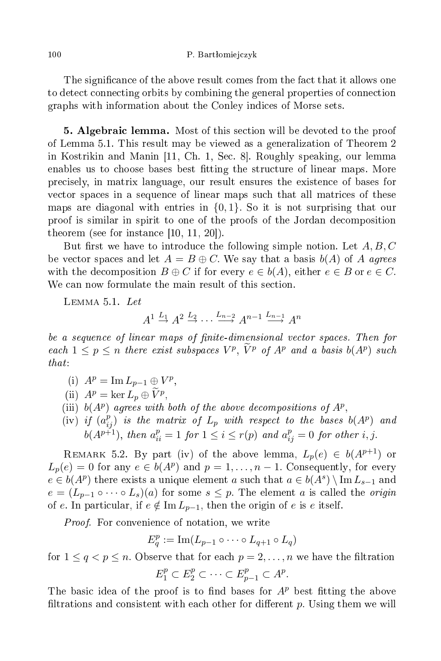The significance of the above result comes from the fact that it allows one to detect connecting orbits by combining the general properties of connection graphs with information about the Conley indi
es of Morse sets.

**5. Algebraic lemma.** Most of this section will be devoted to the proof of Lemma 5.1. This result may be viewed as a generalization of Theorem 2 in Kostrikin and Manin  $[11, Ch. 1, Sec. 8]$ . Roughly speaking, our lemma enables us to choose bases best fitting the structure of linear maps. More pre
isely, in matrix language, our result ensures the existen
e of bases for ve
tor spa
es in a sequen
e of linear maps su
h that all matri
es of these maps are diagonal with entries in  $\{0, 1\}$ . So it is not surprising that our proof is similar in spirit to one of the proofs of the Jordan de
omposition theorem (see for instance  $[10, 11, 20]$ ).

But first we have to introduce the following simple notion. Let  $A, B, C$ be vector spaces and let  $A = B \oplus C$ . We say that a basis  $b(A)$  of A agrees with the decomposition  $B \oplus C$  if for every  $e \in b(A)$ , either  $e \in B$  or  $e \in C$ . We can now formulate the main result of this section.

 $\tt LEMMA$  5.1.  $Let$ 

 $A^1 \stackrel{L_1}{\rightarrow} A^2 \stackrel{L_2}{\rightarrow} \cdots \stackrel{L_{n-2}}{\rightarrow} A^{n-1} \stackrel{L_{n-1}}{\rightarrow} A^n$ 

be a sequence of linear maps of finite-dimensional vector spaces. Then for each  $1 \leq p \leq n$  there exist subspaces  $V^p$ ,  $\tilde{V}^p$  of  $A^p$  and a basis  $b(A^p)$  such  $that:$ 

- (i)  $A^p = \text{Im } L_{p-1} \oplus V^p$ ,
- (ii)  $A^p = \ker L_p \oplus \widetilde{V}^p$ ,
- (iii)  $b(A^p)$  agrees with both of the above decompositions of  $A^p$ ,
- (iv) if  $(a_{ij}^p)$  is the matrix of  $L_p$  with respect to the bases  $b(A^p)$  and  $b(A^{p+1}),$  then  $a_{ii}^p = 1$  for  $1 \leq i \leq r(p)$  and  $a_{ij}^p = 0$  for other i, j.

REMARK 5.2. By part (iv) of the above lemma,  $L_p(e) \in b(A^{p+1})$  or  $L_p(e) = 0$  for any  $e \in b(A^p)$  and  $p = 1, \ldots, n-1$ . Consequently, for every  $e \in b(A^p)$  there exists a unique element a such that  $a \in b(A^s) \setminus \text{Im } L_{s-1}$  and  $e = (L_{p-1} \circ \cdots \circ L_s)(a)$  for some  $s \leq p$ . The element a is called the *origin* of e. In particular, if  $e \notin \text{Im } L_{p-1}$ , then the origin of e is e itself.

Proof. For convenience of notation, we write

$$
E_q^p := \operatorname{Im}(L_{p-1} \circ \cdots \circ L_{q+1} \circ L_q)
$$

for  $1 \leq q < p \leq n$ . Observe that for each  $p = 2, \ldots, n$  we have the filtration  $E_1^p \subset E_2^p \subset \cdots \subset E_{p-1}^p \subset A^p.$ 

The basic idea of the proof is to find bases for  $A<sup>p</sup>$  best fitting the above filtrations and consistent with each other for different  $p$ . Using them we will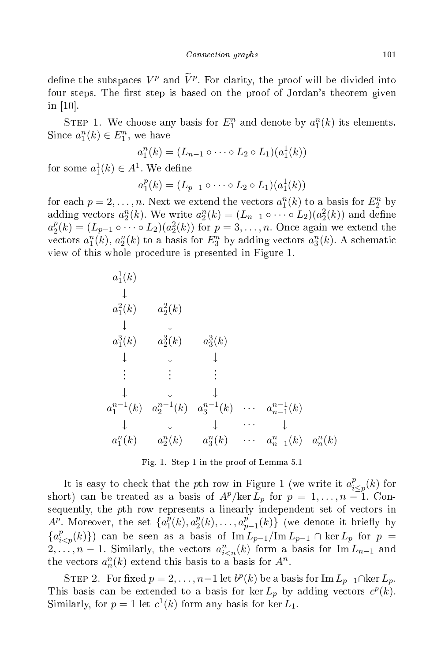define the subspaces  $V^p$  and  $\tilde{V}^p$ . For clarity, the proof will be divided into four steps. The first step is based on the proof of Jordan's theorem given in  $[10]$ .

STEP 1. We choose any basis for  $E_1^n$  and denote by  $a_1^n(k)$  its elements. Since  $a_1^n(k) \in E_1^n$ , we have

$$
a_1^n(k) = (L_{n-1} \circ \cdots \circ L_2 \circ L_1)(a_1^1(k))
$$

for some  $a_1^1(k) \in A^1$ . We define

$$
a_1^p(k) = (L_{p-1} \circ \cdots \circ L_2 \circ L_1)(a_1^1(k))
$$

for each  $p = 2, \ldots, n$ . Next we extend the vectors  $a_1^n(k)$  to a basis for  $E_2^n$  by adding vectors  $a_2^n(k)$ . We write  $a_2^n(k) = (L_{n-1} \circ \cdots \circ L_2)(a_2^2(k))$  and define  $a_2^p$  $\mathcal{L}_2^p(k) = (L_{p-1} \circ \cdots \circ L_2)(a_2^2(k))$  for  $p = 3, \ldots, n$ . Once again we extend the vectors  $a_1^n(k)$ ,  $a_2^n(k)$  to a basis for  $E_3^n$  by adding vectors  $a_3^n(k)$ . A schematic view of this whole pro
edure is presented in Figure 1.



Fig. 1. Step 1 in the proof of Lemma 5.1

It is easy to check that the pth row in Figure 1 (we write it  $a_i^p$  $t_{i\leq p}^p(k)$  for short) can be treated as a basis of  $A^p/\text{ker } L_p$  for  $p = 1, ..., n-1$ . Consequently, the pth row represents a linearly independent set of vectors in  $A^p$ . Moreover, the set  $\{a_1^p\}$  $\frac{\bar{p}}{1}(k), a_{2}^{p}$  $a_2^p(k), \ldots, a_p^p$  $_{p-1}^p(k) \}$  (we denote it briefly by  ${a_{i can be seen as a basis of  $\overline{\mathrm{Im} L_{p-1}}/\mathrm{Im} L_{p-1} \cap \ker L_p$  for  $p =$$  $2, \ldots, n-1$ . Similarly, the vectors  $a_{i(nk)}^n(k)$  form a basis for  $\text{Im } L_{n-1}$  and the vectors  $a_n^n(k)$  extend this basis to a basis for  $A^n$ .

STEP 2. For fixed  $p = 2, ..., n-1$  let  $b^p(k)$  be a basis for  $\text{Im } L_{p-1} \cap \text{ker } L_p$ . This basis can be extended to a basis for ker  $L_p$  by adding vectors  $c^p(k)$ . Similarly, for  $p = 1$  let  $c^1(k)$  form any basis for ker  $L_1$ .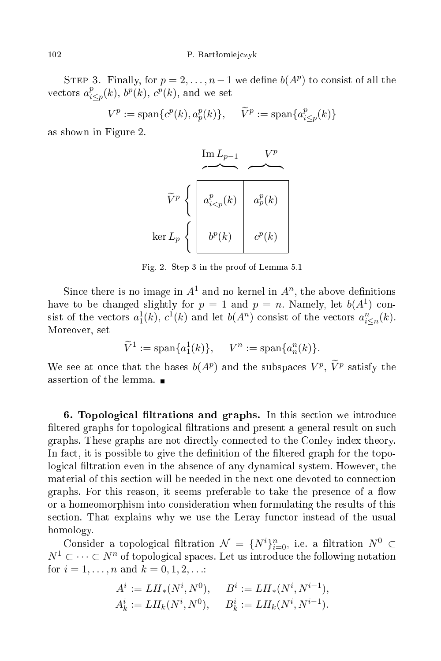STEP 3. Finally, for  $p = 2, \ldots, n-1$  we define  $b(A^p)$  to consist of all the vectors  $a_i^p$  $_{i\leq p}^{p}(k), b^{p}(k), c^{p}(k)$ , and we set

> $V^p := \text{span}\{c^p(k), a_p^p(k)\}, \quad \widetilde{V}^p := \text{span}\{a_i^p\}$  $E_{i\leq p}(k)$

as shown in Figure 2.

$$
\widetilde{V}^{p} \left\{ \begin{array}{c|c} \text{Im } L_{p-1} & V^{p} \\ \hline \downarrow & \downarrow \\ a_{i
$$

Fig. 2. Step 3 in the proof of Lemma 5.1

Since there is no image in  $A^1$  and no kernel in  $A^n$ , the above definitions have to be changed slightly for  $p = 1$  and  $p = n$ . Namely, let  $b(A^1)$  consist of the vectors  $a_1^1(k)$ ,  $c^1(k)$  and let  $b(A^n)$  consist of the vectors  $a_{i\leq n}^n(k)$ . Moreover, set

$$
\widetilde{V}^1 := \text{span}\{a_1^1(k)\}, \quad V^n := \text{span}\{a_n^n(k)\}.
$$

We see at once that the bases  $b(A^p)$  and the subspaces  $V^p$ ,  $\tilde{V}^p$  satisfy the assertion of the lemma.

6. Topological filtrations and graphs. In this section we introduce filtered graphs for topological filtrations and present a general result on such graphs. These graphs are not dire
tly onne
ted to the Conley index theory. In fact, it is possible to give the definition of the filtered graph for the topological filtration even in the absence of any dynamical system. However, the material of this se
tion will be needed in the next one devoted to onne
tion graphs. For this reason, it seems preferable to take the presence of a flow or a homeomorphism into onsideration when formulating the results of this se
tion. That explains why we use the Leray fun
tor instead of the usual homology.

Consider a topological filtration  $\mathcal{N} = \{N^i\}_{i=0}^n$ , i.e. a filtration  $N^0 \subset$  $N^1 \subset \cdots \subset N^n$  of topological spaces. Let us introduce the following notation for  $i = 1, ..., n$  and  $k = 0, 1, 2, ...$ 

$$
A^i := LH_*(N^i, N^0), \qquad B^i := LH_*(N^i, N^{i-1}),
$$
  

$$
A^i_k := LH_k(N^i, N^0), \qquad B^i_k := LH_k(N^i, N^{i-1}).
$$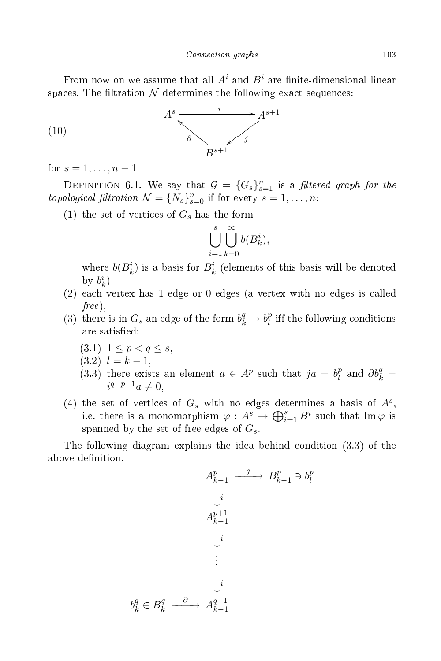From now on we assume that all  $A^i$  and  $B^i$  are finite-dimensional linear spaces. The filtration  $\mathcal N$  determines the following exact sequences:



for  $s = 1, ..., n - 1$ .

DEFINITION 6.1. We say that  $\mathcal{G} = \{G_s\}_{s=1}^n$  is a *filtered graph for the* topological filtration  $\mathcal{N} = \{N_s\}_{s=0}^n$  if for every  $s = 1, \ldots, n$ :

(1) the set of vertices of  $G_s$  has the form

$$
\bigcup_{i=1}^s \bigcup_{k=0}^\infty b(B_k^i),
$$

where  $b(B_k^i)$  is a basis for  $B_k^i$  (elements of this basis will be denoted by  $b_k^i$ ),

- (2) each vertex has 1 edge or 0 edges (a vertex with no edges is called free ),
- (3) there is in  $G_s$  an edge of the form  $b_k^q \rightarrow b_l^p$  $l$  in the following conditions are satisfied:
	- $(3.1)$   $1 \leq p < q \leq s$ ,
	- $(3.2)$   $l = k 1$ ,
	- $(3.3)$  there exists an element  $a \in A^p$  such that  $ja = b^p_i$  $\partial_t^p$  and  $\partial b_k^q =$  $i^{q-p-1}a \neq 0,$
- (4) the set of vertices of  $G_s$  with no edges determines a basis of  $A^s$ , i.e. there is a monomorphism  $\varphi: A^s \to \bigoplus_{i=1}^s B^i$  such that  $\text{Im}\,\varphi$  is spanned by the set of free edges of  $G_s$ .

l

The following diagram explains the idea behind ondition (3.3) of the above definition.

$$
A_{k-1}^{p} \xrightarrow{j} B_{k-1}^{p} \ni b_{l}^{p}
$$

$$
\downarrow i
$$

$$
A_{k-1}^{p+1}
$$

$$
\downarrow i
$$

$$
\vdots
$$

$$
\downarrow i
$$

$$
b_{k}^{q} \in B_{k}^{q} \xrightarrow{\partial} A_{k-1}^{q-1}
$$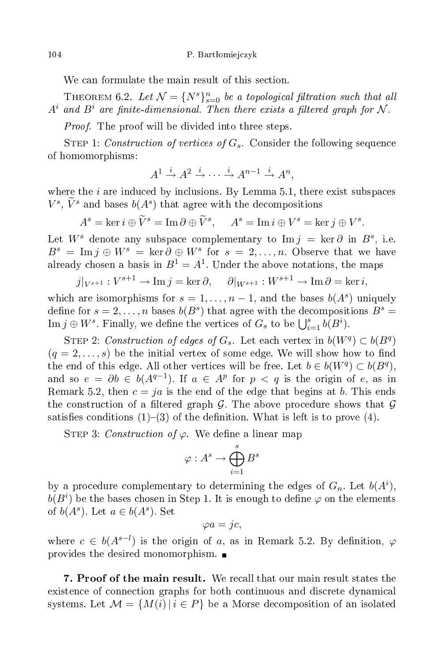We can formulate the main result of this section.

THEOREM 6.2. Let  $\mathcal{N} = \{N^s\}_{s=0}^n$  be a topological filtration such that all  $A^i$  and  $B^i$  are finite-dimensional. Then there exists a filtered graph for N.

Proof. The proof will be divided into three steps.

STEP 1: Construction of vertices of  $G_s$ . Consider the following sequence of homomorphisms:

$$
A^1 \stackrel{i}{\rightarrow} A^2 \stackrel{i}{\rightarrow} \cdots \stackrel{i}{\rightarrow} A^{n-1} \stackrel{i}{\rightarrow} A^n,
$$

where the  $i$  are induced by inclusions. By Lemma 5.1, there exist subspaces  $V^s$ ,  $\tilde{V}^s$  and bases  $b(A^s)$  that agree with the decompositions

$$
A^{s} = \ker i \oplus \widetilde{V}^{s} = \operatorname{Im} \partial \oplus \widetilde{V}^{s}, \quad A^{s} = \operatorname{Im} i \oplus V^{s} = \ker j \oplus V^{s}.
$$

Let  $W^s$  denote any subspace complementary to Im  $j = \ker \partial$  in  $B^s$ , i.e.  $B^s = \text{Im } j \oplus W^s = \text{ker } \partial \oplus W^s$  for  $s = 2, \ldots, n$ . Observe that we have already chosen a basis in  $B^1 = A^1$ . Under the above notations, the maps

 $j|_{V^{s+1}} : V^{s+1} \to \text{Im } j = \ker \partial, \quad \partial|_{W^{s+1}} : W^{s+1} \to \text{Im } \partial = \ker i,$ 

which are isomorphisms for  $s = 1, \ldots, n-1$ , and the bases  $b(A<sup>s</sup>)$  uniquely define for  $s = 2, ..., n$  bases  $b(B<sup>s</sup>)$  that agree with the decompositions  $B<sup>s</sup> =$  $\text{Im } j \oplus W^s$ . Finally, we define the vertices of  $G_s$  to be  $\bigcup_{i=1}^s b(B^i)$ .

STEP 2: Construction of edges of  $G_s$ . Let each vertex in  $b(W^q) \subset b(B^q)$  $(q = 2, \ldots, s)$  be the initial vertex of some edge. We will show how to find the end of this edge. All other vertices will be free. Let  $b \in b(W^q) \subset b(B^q)$ , and so  $e = \partial b \in b(A^{q-1})$ . If  $a \in A^p$  for  $p < q$  is the origin of e, as in Remark 5.2, then  $c = ja$  is the end of the edge that begins at b. This ends the construction of a filtered graph G. The above procedure shows that G satisfies conditions  $(1)-(3)$  of the definition. What is left is to prove  $(4)$ .

STEP 3: Construction of  $\varphi$ . We define a linear map

$$
\varphi: A^s \to \bigoplus_{i=1}^s B^s
$$

by a procedure complementary to determining the edges of  $G_n$ . Let  $b(A^i)$ ,  $b(B^i)$  be the bases chosen in Step 1. It is enough to define  $\varphi$  on the elements of  $b(A^s)$ . Let  $a \in b(A^s)$ . Set

$$
\varphi a = jc,
$$

where  $c \in b(A^{s-l})$  is the origin of a, as in Remark 5.2. By definition,  $\varphi$ provides the desired monomorphism.

7. Proof of the main result. We re
all that our main result states the existence of connection graphs for both continuous and discrete dynamical systems. Let  $\mathcal{M} = \{M(i) | i \in P\}$  be a Morse decomposition of an isolated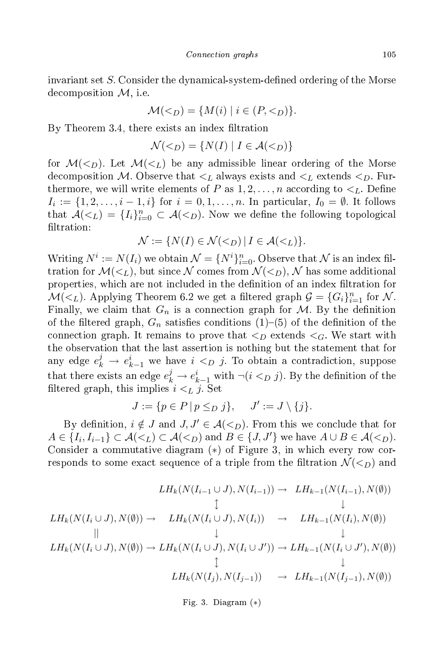invariant set  $S$ . Consider the dynamical-system-defined ordering of the Morse de
omposition M, i.e.

$$
\mathcal{M}(D) = \{ M(i) | i \in (P, D) \}.
$$

By Theorem 3.4, there exists an index filtration

$$
\mathcal{N}(D) = \{ N(I) | I \in \mathcal{A}(D) \}
$$

for  $\mathcal{M}(\leq_D)$ . Let  $\mathcal{M}(\leq_L)$  be any admissible linear ordering of the Morse decomposition M. Observe that  $\lt_L$  always exists and  $\lt_L$  extends  $\lt_D$ . Furthermore, we will write elements of P as  $1, 2, ..., n$  according to  $\lt_L$ . Define  $I_i := \{1, 2, \ldots, i-1, i\}$  for  $i = 0, 1, \ldots, n$ . In particular,  $I_0 = \emptyset$ . It follows that  $\mathcal{A}(\leq_L) = \{I_i\}_{i=0}^n \subset \mathcal{A}(\leq_L)$ . Now we define the following topological filtration:

$$
\mathcal{N} := \{ N(I) \in \mathcal{N}(D) \mid I \in \mathcal{A}(L) \}.
$$

Writing  $N^i := N(I_i)$  we obtain  $\mathcal{N} = \{N^i\}_{i=0}^n$ . Observe that  $\mathcal N$  is an index filtration for  $\mathcal{M}(\leq_L)$ , but since N comes from  $\mathcal{N}(\leq_L)$ , N has some additional properties, which are not included in the definition of an index filtration for  $\mathcal{M}(\lt_L)$ . Applying Theorem 6.2 we get a filtered graph  $\mathcal{G} = \{G_i\}_{i=1}^n$  for  $\mathcal{N}$ . Finally, we claim that  $G_n$  is a connection graph for M. By the definition of the filtered graph,  $G_n$  satisfies conditions (1)–(5) of the definition of the connection graph. It remains to prove that  $\langle D \rangle$  extends  $\langle G \rangle$ . We start with the observation that the last assertion is nothing but the statement that for any edge  $e_k^j \to e_{k-1}^i$  we have  $i \leq_D j$ . To obtain a contradiction, suppose that there exists an edge  $e_k^j \rightarrow e_{k-1}^i$  with  $\neg (i <_D j)$ . By the definition of the filtered graph, this implies  $i \lt_L j$ . Set

$$
J := \{ p \in P \mid p \leq_D j \}, \quad J' := J \setminus \{ j \}.
$$

By definition,  $i \notin J$  and  $J, J' \in \mathcal{A}(\leq_D)$ . From this we conclude that for  $A \in \{I_i, I_{i-1}\} \subset \mathcal{A}(\leq_L) \subset \mathcal{A}(\leq_D)$  and  $B \in \{J, J'\}$  we have  $A \cup B \in \mathcal{A}(\leq_D)$ . Consider a commutative diagram (\*) of Figure 3, in which every row corresponds to some exact sequence of a triple from the filtration  $\mathcal{N}(\leq_D)$  and

$$
LH_{k}(N(I_{i-1} \cup J), N(I_{i-1})) \to LH_{k-1}(N(I_{i-1}), N(\emptyset))
$$
  
\n
$$
\downarrow \qquad \qquad \downarrow
$$
  
\n
$$
LH_{k}(N(I_{i} \cup J), N(\emptyset)) \to LH_{k}(N(I_{i} \cup J), N(I_{i})) \to LH_{k-1}(N(I_{i}), N(\emptyset))
$$
  
\n
$$
\parallel \qquad \qquad \downarrow \qquad \qquad \downarrow
$$
  
\n
$$
LH_{k}(N(I_{i} \cup J), N(\emptyset)) \to LH_{k}(N(I_{i} \cup J), N(I_{i} \cup J')) \to LH_{k-1}(N(I_{i} \cup J'), N(\emptyset))
$$
  
\n
$$
\downarrow \qquad \qquad \downarrow
$$
  
\n
$$
LH_{k}(N(I_{j}), N(I_{j-1})) \to LH_{k-1}(N(I_{j-1}), N(\emptyset))
$$

Fig. 3. Diagram (∗)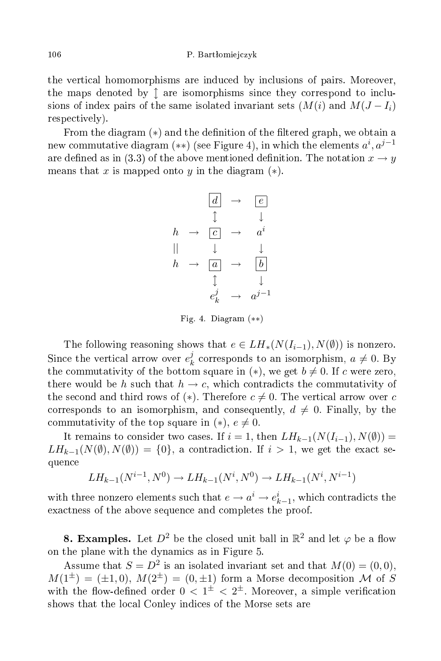the verti
al homomorphisms are indu
ed by in
lusions of pairs. Moreover, the maps denoted by  $\uparrow$  are isomorphisms since they correspond to inclusions of index pairs of the same isolated invariant sets  $(M(i)$  and  $M(J - I_i)$ respectively).

From the diagram  $(*)$  and the definition of the filtered graph, we obtain a new commutative diagram (\*\*) (see Figure 4), in which the elements  $a^i, a^{j-1}$ are defined as in (3.3) of the above mentioned definition. The notation  $x \to y$ means that x is mapped onto y in the diagram  $(*)$ .

$$
\begin{array}{ccc}\n\boxed{d} & \rightarrow & \boxed{e} \\
\updownarrow & & \downarrow \\
h & \rightarrow & \boxed{c} & \rightarrow & a^i \\
\parallel & & \downarrow & & \downarrow \\
h & \rightarrow & \boxed{a} & \rightarrow & \boxed{b} \\
\downarrow & & \downarrow & & \downarrow \\
e_k^j & \rightarrow & a^{j-1}\n\end{array}
$$

Fig. 4. Diagram (∗∗)

The following reasoning shows that  $e \in LH_*(N(I_{i-1}), N(\emptyset))$  is nonzero. Since the vertical arrow over  $e_k^j$  $\frac{d}{k}$  corresponds to an isomorphism,  $a \neq 0$ . By the commutativity of the bottom square in  $(*)$ , we get  $b \neq 0$ . If c were zero, there would be h such that  $h \to c$ , which contradicts the commutativity of the second and third rows of (\*). Therefore  $c \neq 0$ . The vertical arrow over c corresponds to an isomorphism, and consequently,  $d \neq 0$ . Finally, by the commutativity of the top square in  $(*), e \neq 0$ .

It remains to consider two cases. If  $i = 1$ , then  $LH_{k-1}(N(I_{i-1}), N(\emptyset)) =$  $LH_{k-1}(N(\emptyset), N(\emptyset)) = \{0\}$ , a contradiction. If  $i > 1$ , we get the exact sequen
e

$$
LH_{k-1}(N^{i-1}, N^0) \to LH_{k-1}(N^i, N^0) \to LH_{k-1}(N^i, N^{i-1})
$$

with three nonzero elements such that  $e \to a^i \to e^i_{k-1},$  which contradicts the exactness of the above sequence and completes the proof.

**8. Examples.** Let  $D^2$  be the closed unit ball in  $\mathbb{R}^2$  and let  $\varphi$  be a flow on the plane with the dynami
s as in Figure 5.

Assume that  $S = D^2$  is an isolated invariant set and that  $M(0) = (0,0)$ ,  $M(1^{\pm}) = (\pm 1, 0), M(2^{\pm}) = (0, \pm 1)$  form a Morse decomposition M of S with the flow-defined order  $0 < 1<sup>\pm</sup> < 2<sup>\pm</sup>$ . Moreover, a simple verification shows that the lo
al Conley indi
es of the Morse sets are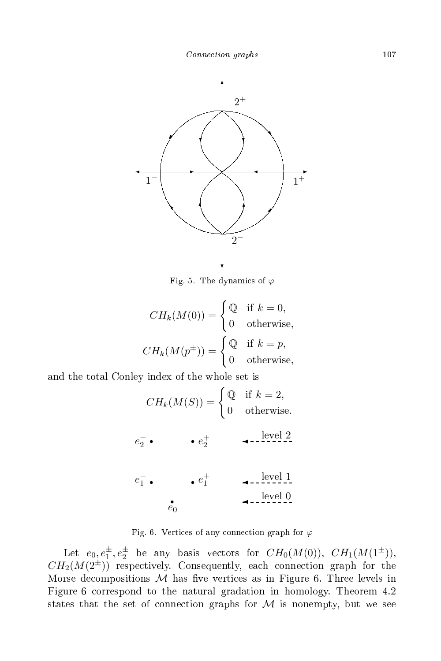

Fig. 5. The dynamics of  $\varphi$ 

$$
CH_k(M(0)) = \begin{cases} \mathbb{Q} & \text{if } k = 0, \\ 0 & \text{otherwise,} \end{cases}
$$

$$
CH_k(M(p^{\pm})) = \begin{cases} \mathbb{Q} & \text{if } k = p, \\ 0 & \text{otherwise,} \end{cases}
$$

and the total Conley index of the whole set is

$$
CH_k(M(S)) = \begin{cases} \mathbb{Q} & \text{if } k = 2, \\ 0 & \text{otherwise.} \end{cases}
$$
  

$$
e_2^- \bullet \qquad \bullet e_2^+
$$
  

$$
e_1^- \bullet \qquad \bullet e_1^+
$$
  

$$
e_0^+
$$
  

$$
1 \qquad \text{level } 0
$$

Fig. 6. Vertices of any connection graph for  $\varphi$ 

Let  $e_0, e_1^{\pm}, e_2^{\pm}$  be any basis vectors for  $CH_0(M(0)), \ CH_1(M(1^{\pm})),$  $CH_2(M(2^{\pm}))$  respectively. Consequently, each connection graph for the Morse decompositions  $M$  has five vertices as in Figure 6. Three levels in Figure 6 orrespond to the natural gradation in homology. Theorem 4.2 states that the set of connection graphs for  $M$  is nonempty, but we see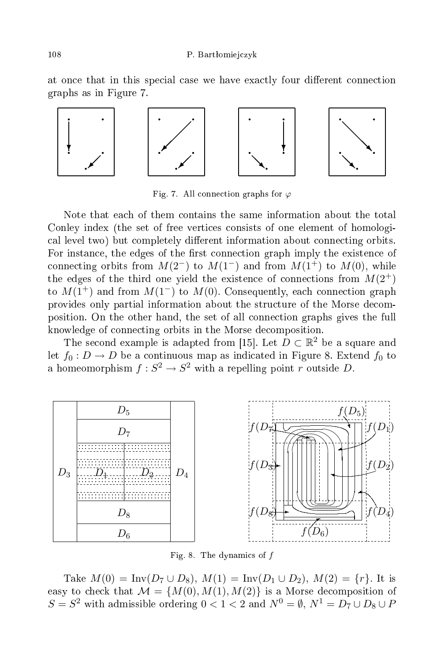#### 108 P. Bart $\alpha$  P. Bart $\alpha$  P. Bart $\alpha$  P. Bart $\alpha$  P. Bart $\alpha$  P. Bart $\alpha$  P. Bart $\alpha$

at once that in this special case we have exactly four different connection graphs as in Figure 7.



Fig. 7. All connection graphs for  $\varphi$ 

Note that ea
h of them ontains the same information about the total Conley index (the set of free vertices consists of one element of homological level two) but completely different information about connecting orbits. For instance, the edges of the first connection graph imply the existence of connecting orbits from  $M(2^-)$  to  $M(1^-)$  and from  $M(1^+)$  to  $M(0)$ , while the edges of the third one yield the existence of connections from  $M(2^+)$ to  $M(1^+)$  and from  $M(1^-)$  to  $M(0)$ . Consequently, each connection graph provides only partial information about the structure of the Morse decomposition. On the other hand, the set of all onne
tion graphs gives the full knowledge of connecting orbits in the Morse decomposition.

The second example is adapted from [15]. Let  $D \subset \mathbb{R}^2$  be a square and let  $f_0: D \to D$  be a continuous map as indicated in Figure 8. Extend  $f_0$  to a homeomorphism  $f: S^2 \to S^2$  with a repelling point r outside D.



Fig. 8. The dynamics of  $f$ 

Take  $M(0) = \text{Inv}(D_7 \cup D_8), M(1) = \text{Inv}(D_1 \cup D_2), M(2) = \{r\}.$  It is easy to check that  $\mathcal{M} = \{M(0), M(1), M(2)\}\$ is a Morse decomposition of  $S=S^2$  with admissible ordering  $0< 1 < 2$  and  $N^0 = \emptyset,$   $N^1=D_7\cup D_8\cup P_9$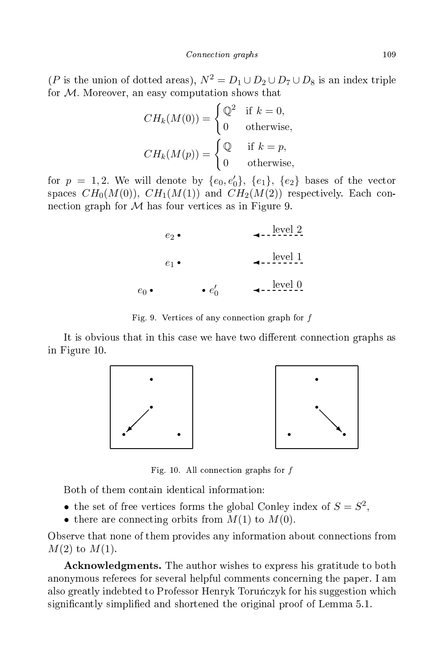(P is the union of dotted areas),  $N^2 = D_1 \cup D_2 \cup D_7 \cup D_8$  is an index triple for M. Moreover, an easy omputation shows that

$$
CH_k(M(0)) = \begin{cases} \mathbb{Q}^2 & \text{if } k = 0, \\ 0 & \text{otherwise,} \end{cases}
$$

$$
CH_k(M(p)) = \begin{cases} \mathbb{Q} & \text{if } k = p, \\ 0 & \text{otherwise,} \end{cases}
$$

for  $p = 1, 2$ . We will denote by  $\{e_0, e'_0\}$ ,  $\{e_1\}$ ,  $\{e_2\}$  bases of the vector spaces  $CH_0(M(0)), CH_1(M(1))$  and  $CH_2(M(2))$  respectively. Each connection graph for  $M$  has four vertices as in Figure 9.

|               | $e_2 \bullet$ |                    | level 2        |
|---------------|---------------|--------------------|----------------|
|               | $e_1 \bullet$ |                    | <u>level 1</u> |
| $e_0 \bullet$ |               | $\bullet$ $e'_{0}$ | <u>level</u> 0 |

Fig. 9. Verti
es of any onne
tion graph for f

It is obvious that in this case we have two different connection graphs as in Figure 10.



Fig. 10. All connection graphs for  $f$ 

Both of them ontain identi
al information:

- the set of free vertices forms the global Conley index of  $S = S^2$ ,
- there are connecting orbits from  $M(1)$  to  $M(0)$ .

Observe that none of them provides any information about connections from  $M(2)$  to  $M(1)$ .

A
knowledgments. The author wishes to express his gratitude to both anonymous referees for several helpful omments on
erning the paper. I am also greatly indebted to Professor Henryk Toruńczyk for his suggestion which significantly simplified and shortened the original proof of Lemma 5.1.